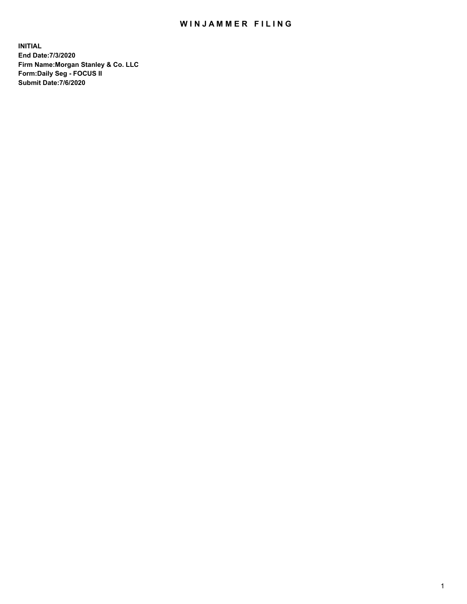## WIN JAMMER FILING

**INITIAL End Date:7/3/2020 Firm Name:Morgan Stanley & Co. LLC Form:Daily Seg - FOCUS II Submit Date:7/6/2020**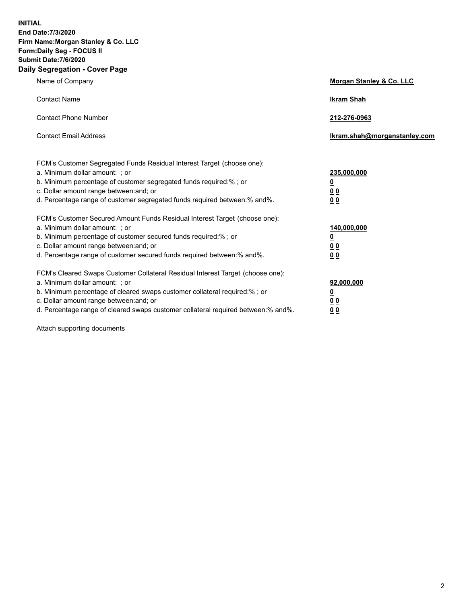**INITIAL End Date:7/3/2020 Firm Name:Morgan Stanley & Co. LLC Form:Daily Seg - FOCUS II Submit Date:7/6/2020 Daily Segregation - Cover Page**

| Name of Company                                                                   | Morgan Stanley & Co. LLC     |
|-----------------------------------------------------------------------------------|------------------------------|
| <b>Contact Name</b>                                                               | <b>Ikram Shah</b>            |
| <b>Contact Phone Number</b>                                                       | 212-276-0963                 |
| <b>Contact Email Address</b>                                                      | Ikram.shah@morganstanley.com |
| FCM's Customer Segregated Funds Residual Interest Target (choose one):            |                              |
| a. Minimum dollar amount: ; or                                                    | 235,000,000                  |
| b. Minimum percentage of customer segregated funds required:% ; or                | <u>0</u>                     |
| c. Dollar amount range between: and; or                                           | <u>0 0</u>                   |
| d. Percentage range of customer segregated funds required between: % and %.       | 0 Q                          |
| FCM's Customer Secured Amount Funds Residual Interest Target (choose one):        |                              |
| a. Minimum dollar amount: ; or                                                    | 140,000,000                  |
| b. Minimum percentage of customer secured funds required:%; or                    | <u>0</u>                     |
| c. Dollar amount range between: and; or                                           | <u>00</u>                    |
| d. Percentage range of customer secured funds required between:% and%.            | 0 <sup>0</sup>               |
| FCM's Cleared Swaps Customer Collateral Residual Interest Target (choose one):    |                              |
| a. Minimum dollar amount: ; or                                                    | 92,000,000                   |
| b. Minimum percentage of cleared swaps customer collateral required:% ; or        | <u>0</u>                     |
| c. Dollar amount range between: and; or                                           | 0 Q                          |
| d. Percentage range of cleared swaps customer collateral required between:% and%. | 00                           |
|                                                                                   |                              |

Attach supporting documents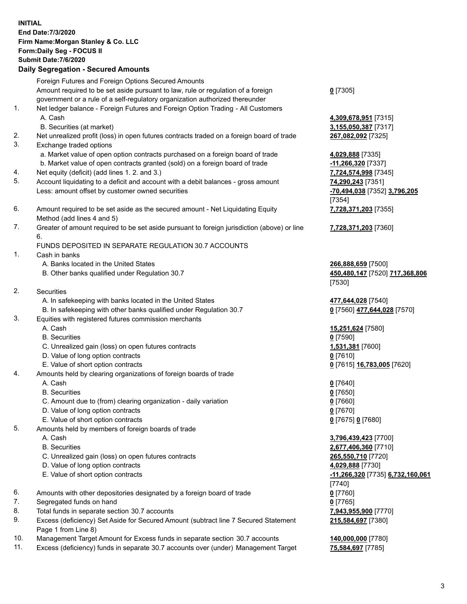| <b>INITIAL</b> | End Date: 7/3/2020<br>Firm Name: Morgan Stanley & Co. LLC<br>Form: Daily Seg - FOCUS II<br><b>Submit Date: 7/6/2020</b><br><b>Daily Segregation - Secured Amounts</b> |                                                      |
|----------------|-----------------------------------------------------------------------------------------------------------------------------------------------------------------------|------------------------------------------------------|
|                | Foreign Futures and Foreign Options Secured Amounts                                                                                                                   |                                                      |
|                | Amount required to be set aside pursuant to law, rule or regulation of a foreign                                                                                      | $0$ [7305]                                           |
| 1.             | government or a rule of a self-regulatory organization authorized thereunder<br>Net ledger balance - Foreign Futures and Foreign Option Trading - All Customers       |                                                      |
|                | A. Cash                                                                                                                                                               | 4,309,678,951 [7315]                                 |
|                | B. Securities (at market)                                                                                                                                             | 3,155,050,387 [7317]                                 |
| 2.             | Net unrealized profit (loss) in open futures contracts traded on a foreign board of trade                                                                             | 267,082,092 [7325]                                   |
| 3.             | Exchange traded options                                                                                                                                               |                                                      |
|                | a. Market value of open option contracts purchased on a foreign board of trade                                                                                        | 4,029,888 [7335]                                     |
| 4.             | b. Market value of open contracts granted (sold) on a foreign board of trade<br>Net equity (deficit) (add lines 1. 2. and 3.)                                         | -11,266,320 [7337]<br>7,724,574,998 [7345]           |
| 5.             | Account liquidating to a deficit and account with a debit balances - gross amount                                                                                     | 74,290,243 [7351]                                    |
|                | Less: amount offset by customer owned securities                                                                                                                      | -70,494,038 [7352] 3,796,205                         |
|                |                                                                                                                                                                       | [7354]                                               |
| 6.             | Amount required to be set aside as the secured amount - Net Liquidating Equity                                                                                        | 7,728,371,203 [7355]                                 |
| 7.             | Method (add lines 4 and 5)<br>Greater of amount required to be set aside pursuant to foreign jurisdiction (above) or line                                             | 7,728,371,203 [7360]                                 |
|                | 6.                                                                                                                                                                    |                                                      |
|                | FUNDS DEPOSITED IN SEPARATE REGULATION 30.7 ACCOUNTS                                                                                                                  |                                                      |
| 1.             | Cash in banks                                                                                                                                                         |                                                      |
|                | A. Banks located in the United States<br>B. Other banks qualified under Regulation 30.7                                                                               | 266,888,659 [7500]<br>450,480,147 [7520] 717,368,806 |
|                |                                                                                                                                                                       | [7530]                                               |
| 2.             | Securities                                                                                                                                                            |                                                      |
|                | A. In safekeeping with banks located in the United States                                                                                                             | 477,644,028 [7540]                                   |
|                | B. In safekeeping with other banks qualified under Regulation 30.7                                                                                                    | 0 [7560] 477,644,028 [7570]                          |
| 3.             | Equities with registered futures commission merchants<br>A. Cash                                                                                                      | 15,251,624 [7580]                                    |
|                | <b>B.</b> Securities                                                                                                                                                  | $0$ [7590]                                           |
|                | C. Unrealized gain (loss) on open futures contracts                                                                                                                   | 1,531,381 [7600]                                     |
|                | D. Value of long option contracts                                                                                                                                     | 0 [7610]                                             |
|                | E. Value of short option contracts                                                                                                                                    | 0 [7615] 16,783,005 [7620]                           |
| 4.             | Amounts held by clearing organizations of foreign boards of trade<br>A. Cash                                                                                          |                                                      |
|                | <b>B.</b> Securities                                                                                                                                                  | $0$ [7640]<br>$0$ [7650]                             |
|                | C. Amount due to (from) clearing organization - daily variation                                                                                                       | $0$ [7660]                                           |
|                | D. Value of long option contracts                                                                                                                                     | $0$ [7670]                                           |
|                | E. Value of short option contracts                                                                                                                                    | 0 [7675] 0 [7680]                                    |
| 5.             | Amounts held by members of foreign boards of trade<br>A. Cash                                                                                                         | 3,796,439,423 [7700]                                 |
|                | <b>B.</b> Securities                                                                                                                                                  | 2,677,406,360 [7710]                                 |
|                | C. Unrealized gain (loss) on open futures contracts                                                                                                                   | 265,550,710 [7720]                                   |
|                | D. Value of long option contracts                                                                                                                                     | 4,029,888 [7730]                                     |
|                | E. Value of short option contracts                                                                                                                                    | -11,266,320 [7735] 6,732,160,061                     |
|                |                                                                                                                                                                       | $[7740]$                                             |
| 6.<br>7.       | Amounts with other depositories designated by a foreign board of trade<br>Segregated funds on hand                                                                    | $0$ [7760]<br>$0$ [7765]                             |
| 8.             | Total funds in separate section 30.7 accounts                                                                                                                         | 7,943,955,900 [7770]                                 |
| 9.             | Excess (deficiency) Set Aside for Secured Amount (subtract line 7 Secured Statement                                                                                   | 215,584,697 [7380]                                   |
|                | Page 1 from Line 8)                                                                                                                                                   |                                                      |
| 10.            | Management Target Amount for Excess funds in separate section 30.7 accounts                                                                                           | 140,000,000 [7780]                                   |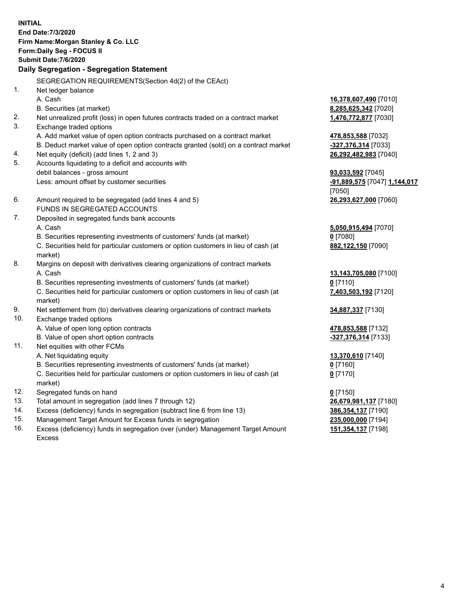**INITIAL End Date:7/3/2020 Firm Name:Morgan Stanley & Co. LLC Form:Daily Seg - FOCUS II Submit Date:7/6/2020 Daily Segregation - Segregation Statement** SEGREGATION REQUIREMENTS(Section 4d(2) of the CEAct) 1. Net ledger balance A. Cash **16,378,607,490** [7010] B. Securities (at market) **8,285,625,342** [7020] 2. Net unrealized profit (loss) in open futures contracts traded on a contract market **1,476,772,877** [7030] 3. Exchange traded options A. Add market value of open option contracts purchased on a contract market **478,853,588** [7032] B. Deduct market value of open option contracts granted (sold) on a contract market **-327,376,314** [7033] 4. Net equity (deficit) (add lines 1, 2 and 3) **26,292,482,983** [7040] 5. Accounts liquidating to a deficit and accounts with debit balances - gross amount **93,033,592** [7045] Less: amount offset by customer securities **-91,889,575** [7047] **1,144,017** [7050] 6. Amount required to be segregated (add lines 4 and 5) **26,293,627,000** [7060] FUNDS IN SEGREGATED ACCOUNTS 7. Deposited in segregated funds bank accounts A. Cash **5,050,915,494** [7070] B. Securities representing investments of customers' funds (at market) **0** [7080] C. Securities held for particular customers or option customers in lieu of cash (at market) **882,122,150** [7090] 8. Margins on deposit with derivatives clearing organizations of contract markets A. Cash **13,143,705,080** [7100] B. Securities representing investments of customers' funds (at market) **0** [7110] C. Securities held for particular customers or option customers in lieu of cash (at market) **7,403,503,192** [7120] 9. Net settlement from (to) derivatives clearing organizations of contract markets **34,887,337** [7130] 10. Exchange traded options A. Value of open long option contracts **478,853,588** [7132] B. Value of open short option contracts **-327,376,314** [7133] 11. Net equities with other FCMs A. Net liquidating equity **13,370,610** [7140] B. Securities representing investments of customers' funds (at market) **0** [7160] C. Securities held for particular customers or option customers in lieu of cash (at market) **0** [7170] 12. Segregated funds on hand **0** [7150] 13. Total amount in segregation (add lines 7 through 12) **26,679,981,137** [7180] 14. Excess (deficiency) funds in segregation (subtract line 6 from line 13) **386,354,137** [7190] 15. Management Target Amount for Excess funds in segregation **235,000,000** [7194]

16. Excess (deficiency) funds in segregation over (under) Management Target Amount Excess

**151,354,137** [7198]